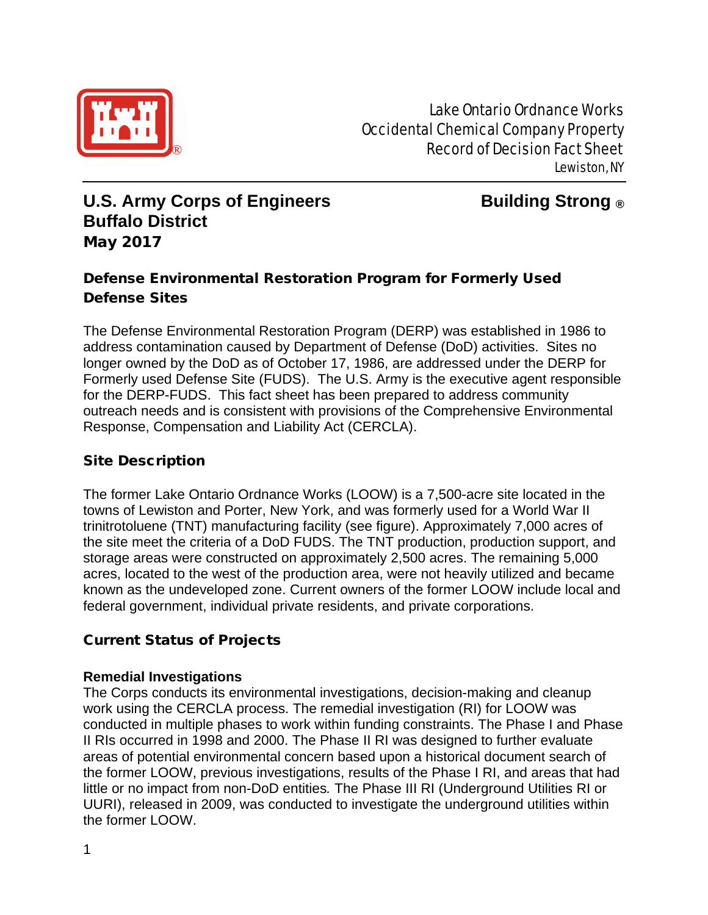

Lake Ontario Ordnance Works Occidental Chemical Company Property **Record of Decision Fact Sheet** Lewiston, NY

# **U.S. Army Corps of Engineers Building Strong ® Buffalo District** May 2017

# Defense Environmental Restoration Program for Formerly Used Defense Sites

The Defense Environmental Restoration Program (DERP) was established in 1986 to address contamination caused by Department of Defense (DoD) activities. Sites no longer owned by the DoD as of October 17, 1986, are addressed under the DERP for Formerly used Defense Site (FUDS). The U.S. Army is the executive agent responsible for the DERP-FUDS. This fact sheet has been prepared to address community outreach needs and is consistent with provisions of the Comprehensive Environmental Response, Compensation and Liability Act (CERCLA).

## Site Description

The former Lake Ontario Ordnance Works (LOOW) is a 7,500-acre site located in the towns of Lewiston and Porter, New York, and was formerly used for a World War II trinitrotoluene (TNT) manufacturing facility (see figure). Approximately 7,000 acres of the site meet the criteria of a DoD FUDS. The TNT production, production support, and storage areas were constructed on approximately 2,500 acres. The remaining 5,000 acres, located to the west of the production area, were not heavily utilized and became known as the undeveloped zone. Current owners of the former LOOW include local and federal government, individual private residents, and private corporations.

## Current Status of Projects

#### **Remedial Investigations**

The Corps conducts its environmental investigations, decision-making and cleanup work using the CERCLA process. The remedial investigation (RI) for LOOW was conducted in multiple phases to work within funding constraints. The Phase I and Phase II RIs occurred in 1998 and 2000. The Phase II RI was designed to further evaluate areas of potential environmental concern based upon a historical document search of the former LOOW, previous investigations, results of the Phase I RI, and areas that had little or no impact from non-DoD entities*.* The Phase III RI (Underground Utilities RI or UURI), released in 2009, was conducted to investigate the underground utilities within the former LOOW.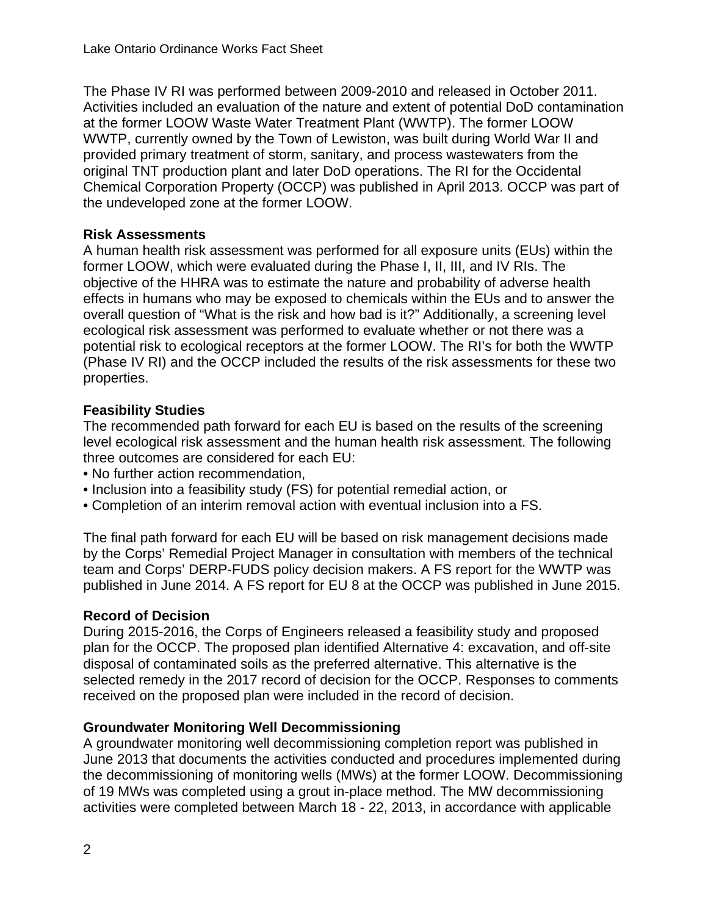The Phase IV RI was performed between 2009-2010 and released in October 2011. Activities included an evaluation of the nature and extent of potential DoD contamination at the former LOOW Waste Water Treatment Plant (WWTP). The former LOOW WWTP, currently owned by the Town of Lewiston, was built during World War II and provided primary treatment of storm, sanitary, and process wastewaters from the original TNT production plant and later DoD operations. The RI for the Occidental Chemical Corporation Property (OCCP) was published in April 2013. OCCP was part of the undeveloped zone at the former LOOW.

#### **Risk Assessments**

A human health risk assessment was performed for all exposure units (EUs) within the former LOOW, which were evaluated during the Phase I, II, III, and IV RIs. The objective of the HHRA was to estimate the nature and probability of adverse health effects in humans who may be exposed to chemicals within the EUs and to answer the overall question of "What is the risk and how bad is it?" Additionally, a screening level ecological risk assessment was performed to evaluate whether or not there was a potential risk to ecological receptors at the former LOOW. The RI's for both the WWTP (Phase IV RI) and the OCCP included the results of the risk assessments for these two properties.

#### **Feasibility Studies**

The recommended path forward for each EU is based on the results of the screening level ecological risk assessment and the human health risk assessment. The following three outcomes are considered for each EU:

- No further action recommendation,
- Inclusion into a feasibility study (FS) for potential remedial action, or
- Completion of an interim removal action with eventual inclusion into a FS.

The final path forward for each EU will be based on risk management decisions made by the Corps' Remedial Project Manager in consultation with members of the technical team and Corps' DERP-FUDS policy decision makers. A FS report for the WWTP was published in June 2014. A FS report for EU 8 at the OCCP was published in June 2015.

#### **Record of Decision**

During 2015-2016, the Corps of Engineers released a feasibility study and proposed plan for the OCCP. The proposed plan identified Alternative 4: excavation, and off-site disposal of contaminated soils as the preferred alternative. This alternative is the selected remedy in the 2017 record of decision for the OCCP. Responses to comments received on the proposed plan were included in the record of decision.

#### **Groundwater Monitoring Well Decommissioning**

A groundwater monitoring well decommissioning completion report was published in June 2013 that documents the activities conducted and procedures implemented during the decommissioning of monitoring wells (MWs) at the former LOOW. Decommissioning of 19 MWs was completed using a grout in-place method. The MW decommissioning activities were completed between March 18 - 22, 2013, in accordance with applicable